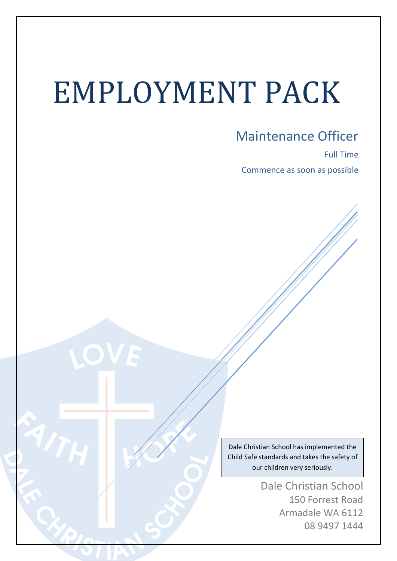# EMPLOYMENT PACK

Maintenance Officer

Full Time Commence as soon as possible

Dale Christian School has implemented the Child Safe standards and takes the safety of our children very seriously.

> Dale Christian School 150 Forrest Road Armadale WA 6112 08 9497 1444

> > $\overline{a}$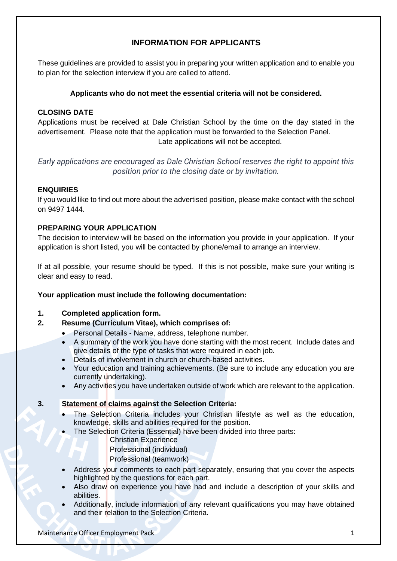## **INFORMATION FOR APPLICANTS**

These guidelines are provided to assist you in preparing your written application and to enable you to plan for the selection interview if you are called to attend.

## **Applicants who do not meet the essential criteria will not be considered.**

## **CLOSING DATE**

Applications must be received at Dale Christian School by the time on the day stated in the advertisement. Please note that the application must be forwarded to the Selection Panel. Late applications will not be accepted.

*Early applications are encouraged as Dale Christian School reserves the right to appoint this position prior to the closing date or by invitation.*

#### **ENQUIRIES**

If you would like to find out more about the advertised position, please make contact with the school on 9497 1444.

## **PREPARING YOUR APPLICATION**

The decision to interview will be based on the information you provide in your application. If your application is short listed, you will be contacted by phone/email to arrange an interview.

If at all possible, your resume should be typed. If this is not possible, make sure your writing is clear and easy to read.

## **Your application must include the following documentation:**

#### **1. Completed application form.**

- **2. Resume (Curriculum Vitae), which comprises of:**
	- Personal Details Name, address, telephone number.
	- A summary of the work you have done starting with the most recent. Include dates and give details of the type of tasks that were required in each job.
	- Details of involvement in church or church-based activities.
	- Your education and training achievements. (Be sure to include any education you are currently undertaking).
	- Any activities you have undertaken outside of work which are relevant to the application.

#### **3. Statement of claims against the Selection Criteria:**

- The Selection Criteria includes your Christian lifestyle as well as the education, knowledge, skills and abilities required for the position.
- The Selection Criteria (Essential) have been divided into three parts:

#### Christian Experience

- Professional (individual)
- Professional (teamwork)
- Address your comments to each part separately, ensuring that you cover the aspects highlighted by the questions for each part.
- Also draw on experience you have had and include a description of your skills and abilities.
- Additionally, include information of any relevant qualifications you may have obtained and their relation to the Selection Criteria.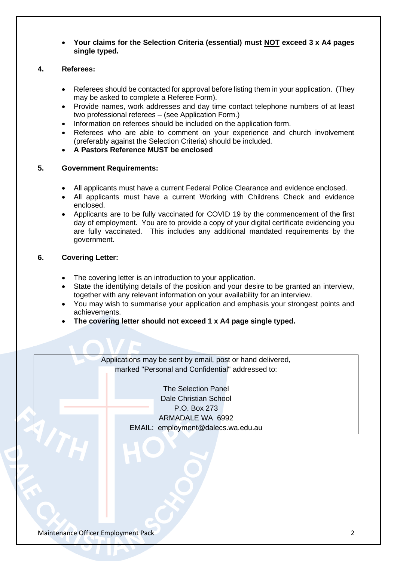• **Your claims for the Selection Criteria (essential) must NOT exceed 3 x A4 pages single typed.**

#### **4. Referees:**

- Referees should be contacted for approval before listing them in your application. (They may be asked to complete a Referee Form).
- Provide names, work addresses and day time contact telephone numbers of at least two professional referees – (see Application Form.)
- Information on referees should be included on the application form.
- Referees who are able to comment on your experience and church involvement (preferably against the Selection Criteria) should be included.
- **A Pastors Reference MUST be enclosed**

#### **5. Government Requirements:**

- All applicants must have a current Federal Police Clearance and evidence enclosed.
- All applicants must have a current Working with Childrens Check and evidence enclosed.
- Applicants are to be fully vaccinated for COVID 19 by the commencement of the first day of employment. You are to provide a copy of your digital certificate evidencing you are fully vaccinated. This includes any additional mandated requirements by the government.

#### **6. Covering Letter:**

- The covering letter is an introduction to your application.
- State the identifying details of the position and your desire to be granted an interview, together with any relevant information on your availability for an interview.
- You may wish to summarise your application and emphasis your strongest points and achievements.
- **The covering letter should not exceed 1 x A4 page single typed.**

Applications may be sent by email, post or hand delivered, marked "Personal and Confidential" addressed to:

> The Selection Panel Dale Christian School P.O. Box 273 ARMADALE WA 6992 EMAIL: employment@dalecs.wa.edu.au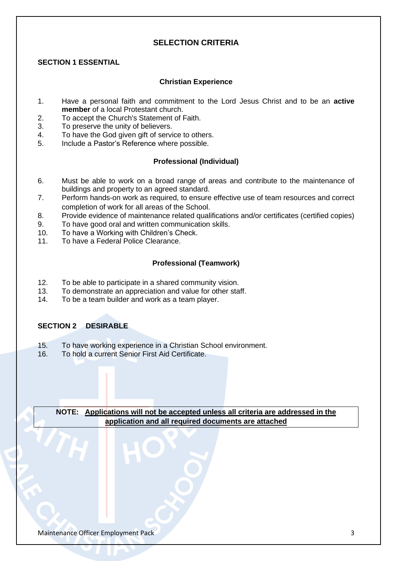## **SELECTION CRITERIA**

#### **SECTION 1 ESSENTIAL**

#### **Christian Experience**

- 1. Have a personal faith and commitment to the Lord Jesus Christ and to be an **active member** of a local Protestant church.
- 2. To accept the Church's Statement of Faith.
- 3. To preserve the unity of believers.
- 4. To have the God given gift of service to others.
- 5. Include a Pastor's Reference where possible.

#### **Professional (Individual)**

- 6. Must be able to work on a broad range of areas and contribute to the maintenance of buildings and property to an agreed standard.
- 7. Perform hands-on work as required, to ensure effective use of team resources and correct completion of work for all areas of the School.
- 8. Provide evidence of maintenance related qualifications and/or certificates (certified copies)
- 9. To have good oral and written communication skills.
- 10. To have a Working with Children's Check.
- 11. To have a Federal Police Clearance.

#### **Professional (Teamwork)**

- 12. To be able to participate in a shared community vision.
- 13. To demonstrate an appreciation and value for other staff.
- 14. To be a team builder and work as a team player.

#### **SECTION 2 DESIRABLE**

- 15. To have working experience in a Christian School environment.
- 16. To hold a current Senior First Aid Certificate.

**NOTE: Applications will not be accepted unless all criteria are addressed in the application and all required documents are attached**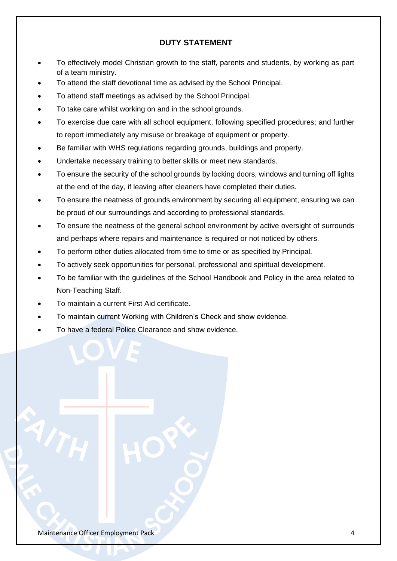## **DUTY STATEMENT**

- To effectively model Christian growth to the staff, parents and students, by working as part of a team ministry.
- To attend the staff devotional time as advised by the School Principal.
- To attend staff meetings as advised by the School Principal.
- To take care whilst working on and in the school grounds.
- To exercise due care with all school equipment, following specified procedures; and further to report immediately any misuse or breakage of equipment or property.
- Be familiar with WHS regulations regarding grounds, buildings and property.
- Undertake necessary training to better skills or meet new standards.
- To ensure the security of the school grounds by locking doors, windows and turning off lights at the end of the day, if leaving after cleaners have completed their duties.
- To ensure the neatness of grounds environment by securing all equipment, ensuring we can be proud of our surroundings and according to professional standards.
- To ensure the neatness of the general school environment by active oversight of surrounds and perhaps where repairs and maintenance is required or not noticed by others.
- To perform other duties allocated from time to time or as specified by Principal.
- To actively seek opportunities for personal, professional and spiritual development.
- To be familiar with the guidelines of the School Handbook and Policy in the area related to Non-Teaching Staff.
- To maintain a current First Aid certificate.
- To maintain current Working with Children's Check and show evidence.
- To have a federal Police Clearance and show evidence.